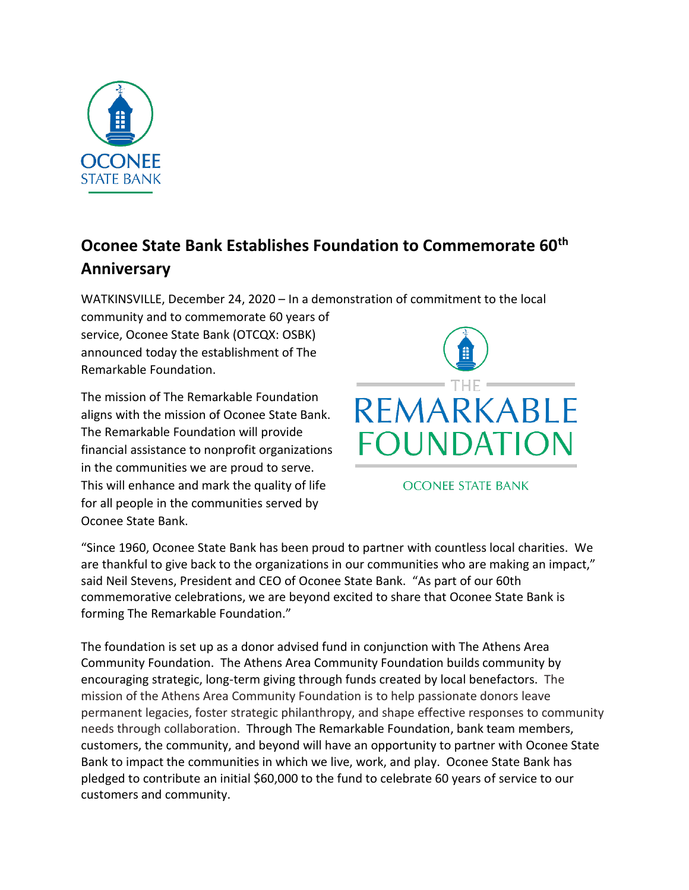

## **Oconee State Bank Establishes Foundation to Commemorate 60th Anniversary**

WATKINSVILLE, December 24, 2020 – In a demonstration of commitment to the local

community and to commemorate 60 years of service, Oconee State Bank (OTCQX: OSBK) announced today the establishment of The Remarkable Foundation.

The mission of The Remarkable Foundation aligns with the mission of Oconee State Bank. The Remarkable Foundation will provide financial assistance to nonprofit organizations in the communities we are proud to serve. This will enhance and mark the quality of life for all people in the communities served by Oconee State Bank.



**OCONEE STATE BANK** 

"Since 1960, Oconee State Bank has been proud to partner with countless local charities. We are thankful to give back to the organizations in our communities who are making an impact," said Neil Stevens, President and CEO of Oconee State Bank. "As part of our 60th commemorative celebrations, we are beyond excited to share that Oconee State Bank is forming The Remarkable Foundation."

The foundation is set up as a donor advised fund in conjunction with The Athens Area Community Foundation. The Athens Area Community Foundation builds community by encouraging strategic, long-term giving through funds created by local benefactors. The mission of the Athens Area Community Foundation is to help passionate donors leave permanent legacies, foster strategic philanthropy, and shape effective responses to community needs through collaboration. Through The Remarkable Foundation, bank team members, customers, the community, and beyond will have an opportunity to partner with Oconee State Bank to impact the communities in which we live, work, and play. Oconee State Bank has pledged to contribute an initial \$60,000 to the fund to celebrate 60 years of service to our customers and community.